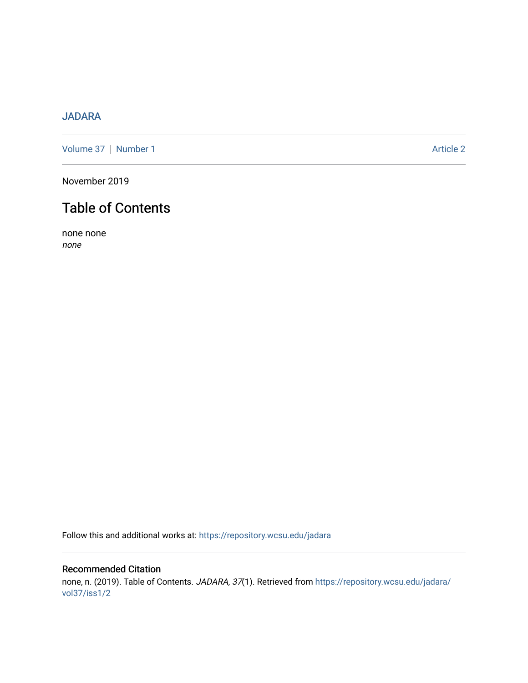## [JADARA](https://repository.wcsu.edu/jadara)

[Volume 37](https://repository.wcsu.edu/jadara/vol37) | [Number 1](https://repository.wcsu.edu/jadara/vol37/iss1) Article 2

November 2019

# Table of Contents

none none none

Follow this and additional works at: [https://repository.wcsu.edu/jadara](https://repository.wcsu.edu/jadara?utm_source=repository.wcsu.edu%2Fjadara%2Fvol37%2Fiss1%2F2&utm_medium=PDF&utm_campaign=PDFCoverPages)

## Recommended Citation none, n. (2019). Table of Contents. JADARA, 37(1). Retrieved from [https://repository.wcsu.edu/jadara/](https://repository.wcsu.edu/jadara/vol37/iss1/2?utm_source=repository.wcsu.edu%2Fjadara%2Fvol37%2Fiss1%2F2&utm_medium=PDF&utm_campaign=PDFCoverPages) [vol37/iss1/2](https://repository.wcsu.edu/jadara/vol37/iss1/2?utm_source=repository.wcsu.edu%2Fjadara%2Fvol37%2Fiss1%2F2&utm_medium=PDF&utm_campaign=PDFCoverPages)